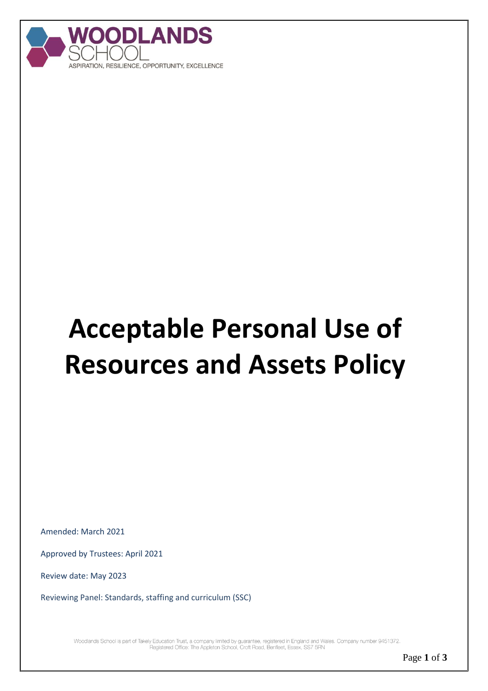

# **Acceptable Personal Use of Resources and Assets Policy**

Amended: March 2021

Approved by Trustees: April 2021

Review date: May 2023

Reviewing Panel: Standards, staffing and curriculum (SSC)

Woodlands School is part of Takely Education Trust, a company limited by guarantee, registered in England and Wales. Company number 9451372.<br>Registered Office: The Appleton School, Croft Road, Benfieet, Essex, SS7 5RN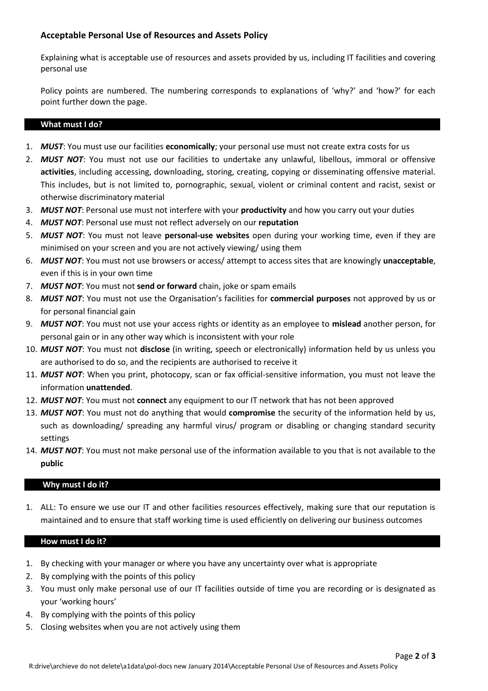# **Acceptable Personal Use of Resources and Assets Policy**

Explaining what is acceptable use of resources and assets provided by us, including IT facilities and covering personal use

Policy points are numbered. The numbering corresponds to explanations of 'why?' and 'how?' for each point further down the page.

#### **What must I do?**

- 1. *MUST*: You must use our facilities **economically**; your personal use must not create extra costs for us
- 2. *MUST NOT*: You must not use our facilities to undertake any unlawful, libellous, immoral or offensive **activities**, including accessing, downloading, storing, creating, copying or disseminating offensive material. This includes, but is not limited to, pornographic, sexual, violent or criminal content and racist, sexist or otherwise discriminatory material
- 3. *MUST NOT*: Personal use must not interfere with your **productivity** and how you carry out your duties
- 4. *MUST NOT*: Personal use must not reflect adversely on our **reputation**
- 5. *MUST NOT*: You must not leave **personal-use websites** open during your working time, even if they are minimised on your screen and you are not actively viewing/ using them
- 6. *MUST NOT*: You must not use browsers or access/ attempt to access sites that are knowingly **unacceptable**, even if this is in your own time
- 7. *MUST NOT*: You must not **send or forward** chain, joke or spam emails
- 8. *MUST NOT*: You must not use the Organisation's facilities for **commercial purposes** not approved by us or for personal financial gain
- 9. *MUST NOT*: You must not use your access rights or identity as an employee to **mislead** another person, for personal gain or in any other way which is inconsistent with your role
- 10. *MUST NOT*: You must not **disclose** (in writing, speech or electronically) information held by us unless you are authorised to do so, and the recipients are authorised to receive it
- 11. *MUST NOT*: When you print, photocopy, scan or fax official-sensitive information, you must not leave the information **unattended**.
- 12. *MUST NOT*: You must not **connect** any equipment to our IT network that has not been approved
- 13. *MUST NOT*: You must not do anything that would **compromise** the security of the information held by us, such as downloading/ spreading any harmful virus/ program or disabling or changing standard security settings
- 14. *MUST NOT*: You must not make personal use of the information available to you that is not available to the **public**

## **Why must I do it?**

1. ALL: To ensure we use our IT and other facilities resources effectively, making sure that our reputation is maintained and to ensure that staff working time is used efficiently on delivering our business outcomes

#### **How must I do it?**

- 1. By checking with your manager or where you have any uncertainty over what is appropriate
- 2. By complying with the points of this policy
- 3. You must only make personal use of our IT facilities outside of time you are recording or is designated as your 'working hours'
- 4. By complying with the points of this policy
- 5. Closing websites when you are not actively using them